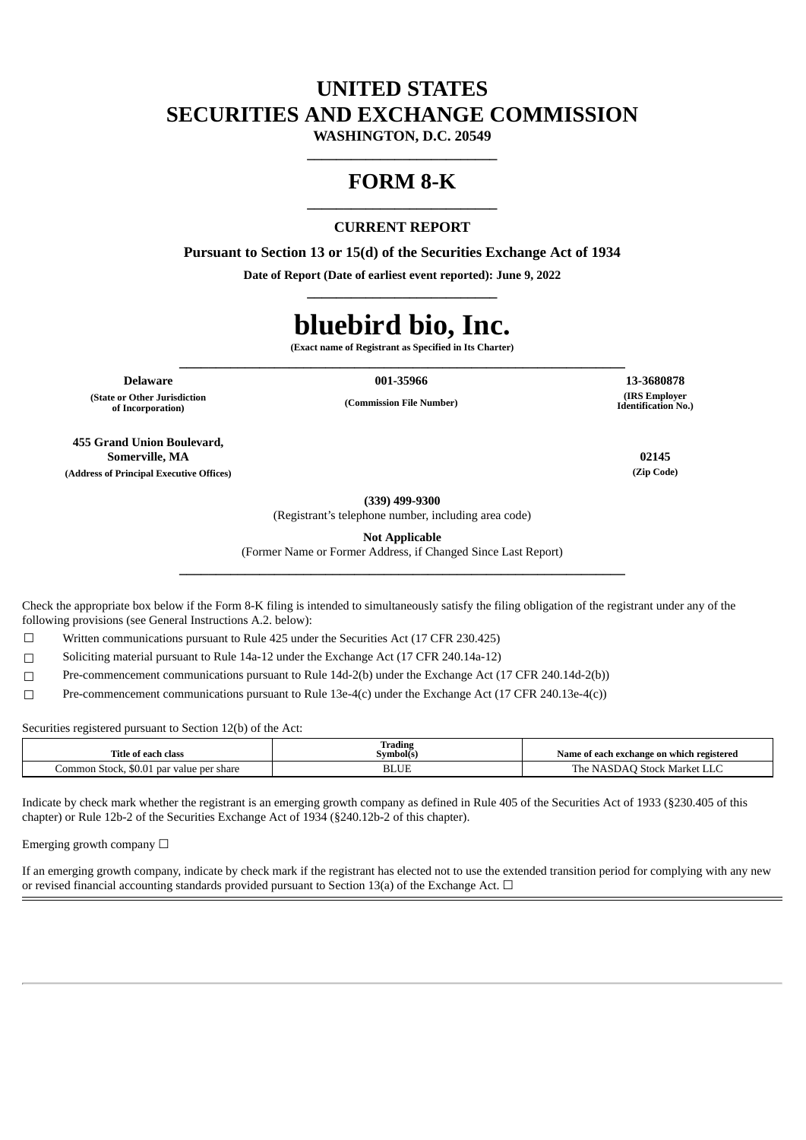## **UNITED STATES SECURITIES AND EXCHANGE COMMISSION**

**WASHINGTON, D.C. 20549 \_\_\_\_\_\_\_\_\_\_\_\_\_\_\_\_\_\_\_\_\_\_\_\_\_\_**

## **FORM 8-K \_\_\_\_\_\_\_\_\_\_\_\_\_\_\_\_\_\_\_\_\_\_\_\_\_\_**

## **CURRENT REPORT**

**Pursuant to Section 13 or 15(d) of the Securities Exchange Act of 1934**

**Date of Report (Date of earliest event reported): June 9, 2022 \_\_\_\_\_\_\_\_\_\_\_\_\_\_\_\_\_\_\_\_\_\_\_\_\_\_**

# **bluebird bio, Inc.**

**(Exact name of Registrant as Specified in Its Charter) \_\_\_\_\_\_\_\_\_\_\_\_\_\_\_\_\_\_\_\_\_\_\_\_\_\_\_\_\_\_\_\_\_\_\_\_\_\_\_\_\_\_\_\_\_\_\_\_\_\_\_\_\_\_\_\_\_\_\_\_\_**

**Delaware 001-35966 13-3680878**

**(State or Other Jurisdiction of Incorporation)**

**(Commission File Number)**

**(IRS Employer Identification No.)**

**455 Grand Union Boulevard, Somerville, MA 02145 (Address of Principal Executive Offices) (Zip Code)**

**(339) 499-9300**

(Registrant's telephone number, including area code)

**Not Applicable**

(Former Name or Former Address, if Changed Since Last Report) **\_\_\_\_\_\_\_\_\_\_\_\_\_\_\_\_\_\_\_\_\_\_\_\_\_\_\_\_\_\_\_\_\_\_\_\_\_\_\_\_\_\_\_\_\_\_\_\_\_\_\_\_\_\_\_\_\_\_\_\_\_**

Check the appropriate box below if the Form 8-K filing is intended to simultaneously satisfy the filing obligation of the registrant under any of the following provisions (see General Instructions A.2. below):

 $\Box$  Written communications pursuant to Rule 425 under the Securities Act (17 CFR 230.425)

☐ Soliciting material pursuant to Rule 14a-12 under the Exchange Act (17 CFR 240.14a-12)

☐ Pre-commencement communications pursuant to Rule 14d-2(b) under the Exchange Act (17 CFR 240.14d-2(b))

☐ Pre-commencement communications pursuant to Rule 13e-4(c) under the Exchange Act (17 CFR 240.13e-4(c))

Securities registered pursuant to Section 12(b) of the Act:

| Title of each class                                            | Trading<br>Symbol(s) | Name of each exchange on which registered   |
|----------------------------------------------------------------|----------------------|---------------------------------------------|
| . Stock.<br>.ommon<br>shar<br>. par value per<br>98 O<br>wu.u. | DLUE                 | $  -$<br>Stock Market<br>. he<br>N<br>שבו א |

Indicate by check mark whether the registrant is an emerging growth company as defined in Rule 405 of the Securities Act of 1933 (§230.405 of this chapter) or Rule 12b-2 of the Securities Exchange Act of 1934 (§240.12b-2 of this chapter).

Emerging growth company  $\Box$ 

If an emerging growth company, indicate by check mark if the registrant has elected not to use the extended transition period for complying with any new or revised financial accounting standards provided pursuant to Section 13(a) of the Exchange Act.  $\Box$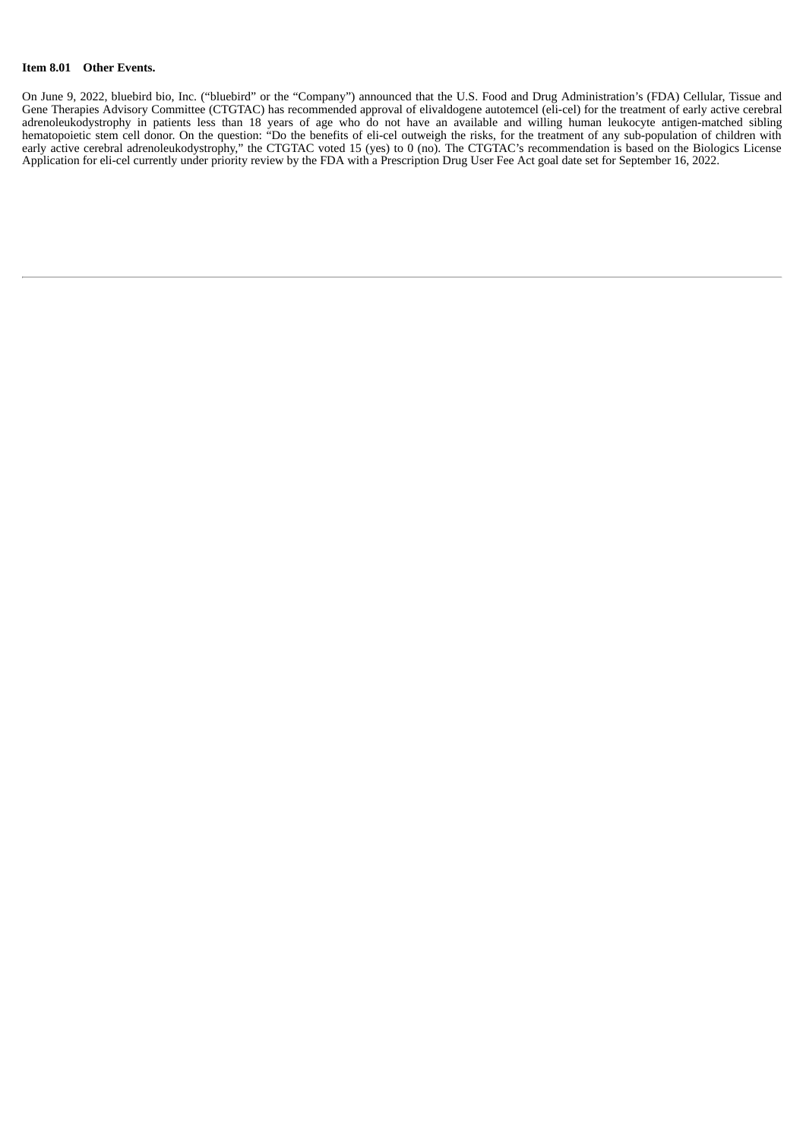### **Item 8.01 Other Events.**

On June 9, 2022, bluebird bio, Inc. ("bluebird" or the "Company") announced that the U.S. Food and Drug Administration's (FDA) Cellular, Tissue and Gene Therapies Advisory Committee (CTGTAC) has recommended approval of elivaldogene autotemcel (eli-cel) for the treatment of early active cerebral adrenoleukodystrophy in patients less than 18 years of age who do not have an available and willing human leukocyte antigen-matched sibling hematopoietic stem cell donor. On the question: "Do the benefits of eli-cel outweigh the risks, for the treatment of any sub-population of children with early active cerebral adrenoleukodystrophy," the CTGTAC voted 15 (yes) to 0 (no). The CTGTAC's recommendation is based on the Biologics License Application for eli-cel currently under priority review by the FDA with a Prescription Drug User Fee Act goal date set for September 16, 2022.